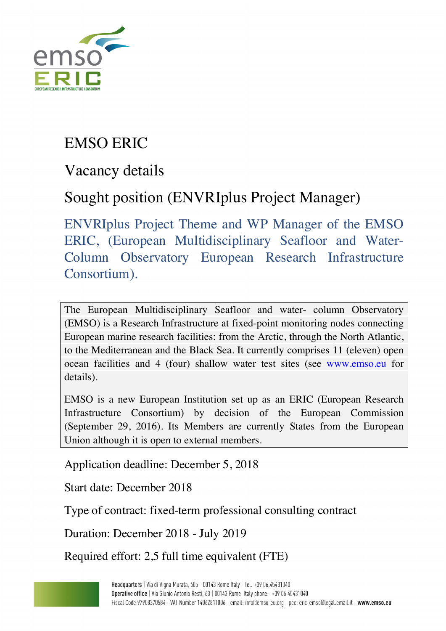

## EMSO ERIC

Vacancy details

## Sought position (ENVRIplus Project Manager)

ENVRIplus Project Theme and WP Manager of the EMSO ERIC, (European Multidisciplinary Seafloor and Water-Column Observatory European Research Infrastructure Consortium).

The European Multidisciplinary Seafloor and water- column Observatory (EMSO) is a Research Infrastructure at fixed-point monitoring nodes connecting European marine research facilities: from the Arctic, through the North Atlantic, to the Mediterranean and the Black Sea. It currently comprises 11 (eleven) open ocean facilities and 4 (four) shallow water test sites (see www.emso.eu for details).

EMSO is a new European Institution set up as an ERIC (European Research Infrastructure Consortium) by decision of the European Commission (September 29, 2016). Its Members are currently States from the European Union although it is open to external members.

Application deadline: December 5, 2018

Start date: December 2018

Type of contract: fixed-term professional consulting contract

Duration: December 2018 - July 2019

Required effort: 2,5 full time equivalent (FTE)

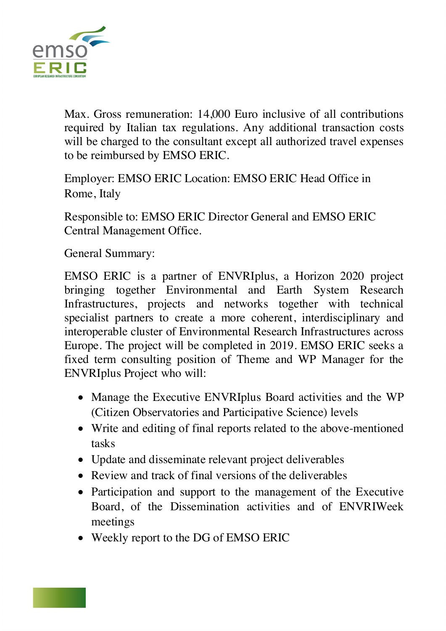

Max. Gross remuneration: 14,000 Euro inclusive of all contributions required by Italian tax regulations. Any additional transaction costs will be charged to the consultant except all authorized travel expenses to be reimbursed by EMSO ERIC.

Employer: EMSO ERIC Location: EMSO ERIC Head Office in Rome, Italy

Responsible to: EMSO ERIC Director General and EMSO ERIC Central Management Office.

General Summary:

EMSO ERIC is a partner of ENVRIplus, a Horizon 2020 project bringing together Environmental and Earth System Research Infrastructures, projects and networks together with technical specialist partners to create a more coherent, interdisciplinary and interoperable cluster of Environmental Research Infrastructures across Europe. The project will be completed in 2019. EMSO ERIC seeks a fixed term consulting position of Theme and WP Manager for the ENVRIplus Project who will:

- Manage the Executive ENVRIplus Board activities and the WP (Citizen Observatories and Participative Science) levels
- Write and editing of final reports related to the above-mentioned tasks
- Update and disseminate relevant project deliverables
- Review and track of final versions of the deliverables
- Participation and support to the management of the Executive Board, of the Dissemination activities and of ENVRIWeek meetings
- Weekly report to the DG of EMSO ERIC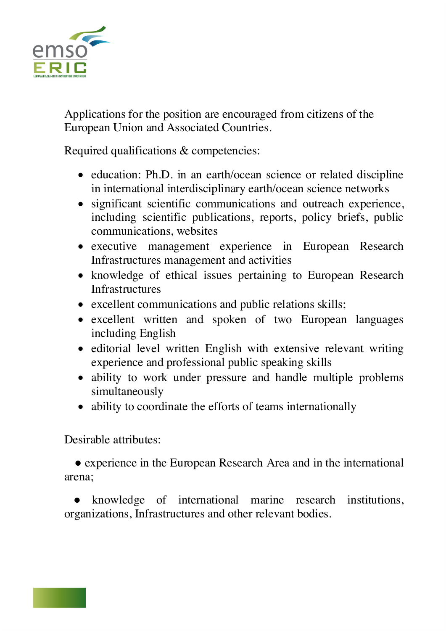

Applications for the position are encouraged from citizens of the European Union and Associated Countries.

Required qualifications & competencies:

- education: Ph.D. in an earth/ocean science or related discipline in international interdisciplinary earth/ocean science networks
- significant scientific communications and outreach experience, including scientific publications, reports, policy briefs, public communications, websites
- executive management experience in European Research Infrastructures management and activities
- knowledge of ethical issues pertaining to European Research **Infrastructures**
- excellent communications and public relations skills;
- excellent written and spoken of two European languages including English
- editorial level written English with extensive relevant writing experience and professional public speaking skills
- ability to work under pressure and handle multiple problems simultaneously
- ability to coordinate the efforts of teams internationally

Desirable attributes:

 ● experience in the European Research Area and in the international arena;

knowledge of international marine research institutions, organizations, Infrastructures and other relevant bodies.